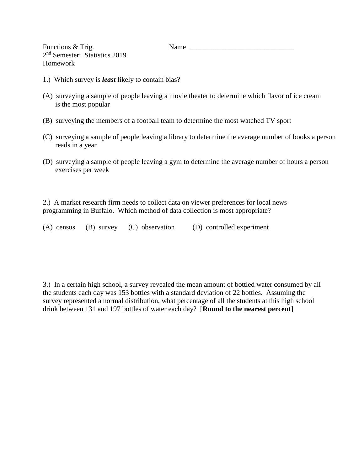Functions & Trig. Name

2<sup>nd</sup> Semester: Statistics 2019 Homework

- 1.) Which survey is *least* likely to contain bias?
- (A) surveying a sample of people leaving a movie theater to determine which flavor of ice cream is the most popular
- (B) surveying the members of a football team to determine the most watched TV sport
- (C) surveying a sample of people leaving a library to determine the average number of books a person reads in a year
- (D) surveying a sample of people leaving a gym to determine the average number of hours a person exercises per week

2.) A market research firm needs to collect data on viewer preferences for local news programming in Buffalo. Which method of data collection is most appropriate?

(A) census (B) survey (C) observation (D) controlled experiment

3.) In a certain high school, a survey revealed the mean amount of bottled water consumed by all the students each day was 153 bottles with a standard deviation of 22 bottles. Assuming the survey represented a normal distribution, what percentage of all the students at this high school drink between 131 and 197 bottles of water each day? [**Round to the nearest percent**]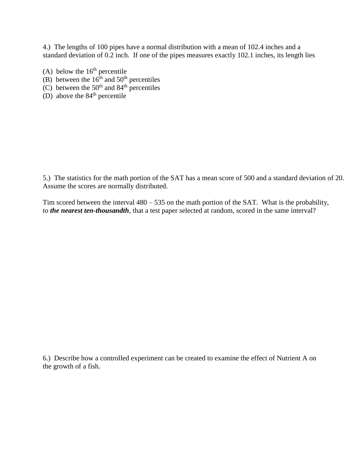4.) The lengths of 100 pipes have a normal distribution with a mean of 102.4 inches and a standard deviation of 0.2 inch. If one of the pipes measures exactly 102.1 inches, its length lies

- (A) below the  $16<sup>th</sup>$  percentile
- (B) between the  $16<sup>th</sup>$  and  $50<sup>th</sup>$  percentiles
- (C) between the  $50<sup>th</sup>$  and  $84<sup>th</sup>$  percentiles
- (D) above the  $84<sup>th</sup>$  percentile

5.) The statistics for the math portion of the SAT has a mean score of 500 and a standard deviation of 20. Assume the scores are normally distributed.

Tim scored between the interval 480 – 535 on the math portion of the SAT. What is the probability, to *the nearest ten-thousandth*, that a test paper selected at random, scored in the same interval?

6.) Describe how a controlled experiment can be created to examine the effect of Nutrient A on the growth of a fish.